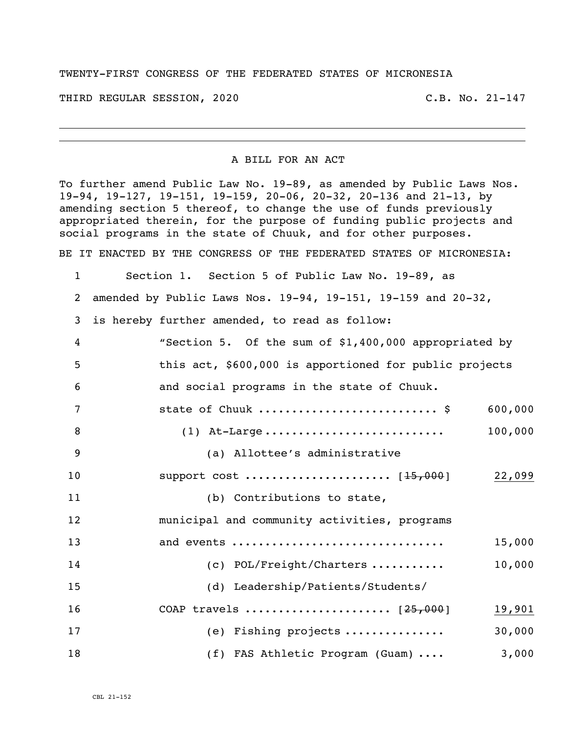## TWENTY-FIRST CONGRESS OF THE FEDERATED STATES OF MICRONESIA

THIRD REGULAR SESSION, 2020 C.B. No. 21-147

## A BILL FOR AN ACT

To further amend Public Law No. 19-89, as amended by Public Laws Nos. 19-94, 19-127, 19-151, 19-159, 20-06, 20-32, 20-136 and 21-13, by amending section 5 thereof, to change the use of funds previously appropriated therein, for the purpose of funding public projects and social programs in the state of Chuuk, and for other purposes. BE IT ENACTED BY THE CONGRESS OF THE FEDERATED STATES OF MICRONESIA:

 Section 1. Section 5 of Public Law No. 19-89, as amended by Public Laws Nos. 19-94, 19-151, 19-159 and 20-32, is hereby further amended, to read as follow: "Section 5. Of the sum of \$1,400,000 appropriated by this act, \$600,000 is apportioned for public projects and social programs in the state of Chuuk. 7 state of Chuuk ...............................\$ 600,000 (1) At-Large ........................... 100,000 (a) Allottee's administrative 10 support cost .......................... [<del>15,000</del>] 22,099 11 (b) Contributions to state, municipal and community activities, programs and events ................................ 15,000 14 (c) POL/Freight/Charters ........... 10,000 (d) Leadership/Patients/Students/ COAP travels ...................... [25,000] 19,901 (e) Fishing projects ............... 30,000 18 (f) FAS Athletic Program (Guam) .... 3,000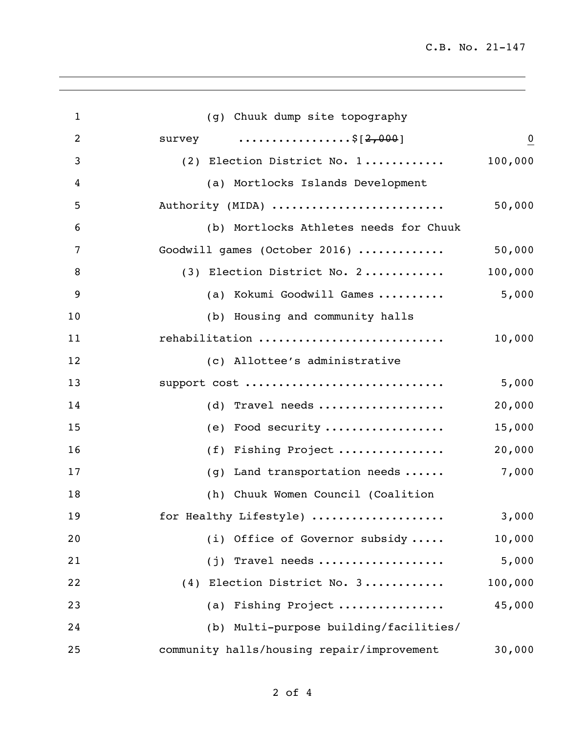| $\mathbf{1}$   | (g) Chuuk dump site topography             |                |
|----------------|--------------------------------------------|----------------|
| $\overline{2}$ | survey $\dots\dots\dots\dots\dots5[2,000]$ | $\overline{0}$ |
| 3              | (2) Election District No. 1                | 100,000        |
| 4              | (a) Mortlocks Islands Development          |                |
| 5              | Authority (MIDA)                           | 50,000         |
| 6              | (b) Mortlocks Athletes needs for Chuuk     |                |
| 7              | Goodwill games (October 2016)              | 50,000         |
| 8              | (3) Election District No. 2                | 100,000        |
| 9              | (a) Kokumi Goodwill Games                  | 5,000          |
| 10             | (b) Housing and community halls            |                |
| 11             | rehabilitation                             | 10,000         |
| 12             | (c) Allottee's administrative              |                |
| 13             | support cost                               | 5,000          |
| 14             | (d) Travel needs                           | 20,000         |
| 15             | (e) Food security                          | 15,000         |
| 16             | (f) Fishing Project                        | 20,000         |
| 17             | $(g)$ Land transportation needs            | 7,000          |
| 18             | (h) Chuuk Women Council (Coalition         |                |
| 19             | for Healthy Lifestyle)                     | 3,000          |
| 20             | (i) Office of Governor subsidy             | 10,000         |
| 21             | $(j)$ Travel needs                         | 5,000          |
| 22             | (4) Election District No. 3                | 100,000        |
| 23             | (a) Fishing Project                        | 45,000         |
| 24             | (b) Multi-purpose building/facilities/     |                |
| 25             | community halls/housing repair/improvement | 30,000         |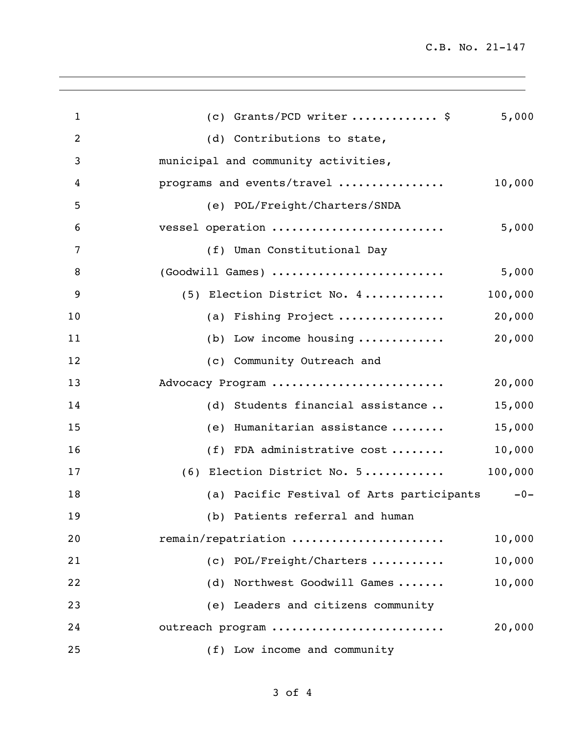C.B. No. 21-147

| $\mathbf{1}$ | (c) Grants/PCD writer  \$                     | 5,000   |
|--------------|-----------------------------------------------|---------|
| 2            | (d) Contributions to state,                   |         |
| 3            | municipal and community activities,           |         |
| 4            | programs and events/travel                    | 10,000  |
| 5            | (e) POL/Freight/Charters/SNDA                 |         |
| 6            | vessel operation                              | 5,000   |
| 7            | (f) Uman Constitutional Day                   |         |
| 8            | (Goodwill Games)                              | 5,000   |
| 9            | (5) Election District No. 4                   | 100,000 |
| 10           | (a) Fishing Project                           | 20,000  |
| 11           | (b) Low income housing $\ldots \ldots \ldots$ | 20,000  |
| 12           | (c) Community Outreach and                    |         |
| 13           | Advocacy Program                              | 20,000  |
| 14           | (d) Students financial assistance             | 15,000  |
| 15           | (e) Humanitarian assistance                   | 15,000  |
| 16           | (f) FDA administrative cost                   | 10,000  |
| 17           | (6) Election District No. 5                   | 100,000 |
| 18           | (a) Pacific Festival of Arts participants     | $-0-$   |
| 19           | (b) Patients referral and human               |         |
| 20           | remain/repatriation                           | 10,000  |
| 21           | (c) POL/Freight/Charters                      | 10,000  |
| 22           | (d) Northwest Goodwill Games                  | 10,000  |
| 23           | (e) Leaders and citizens community            |         |
| 24           | outreach program                              | 20,000  |
| 25           | (f) Low income and community                  |         |
|              |                                               |         |